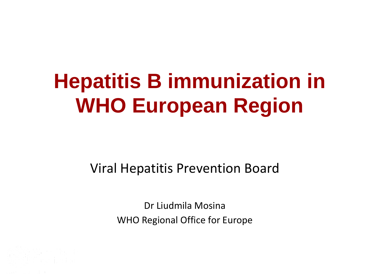# **Hepatitis B immunization in WHO European Region**

Viral Hepatitis Prevention Board

Dr Liudmila Mosina WHO Regional Office for Europe

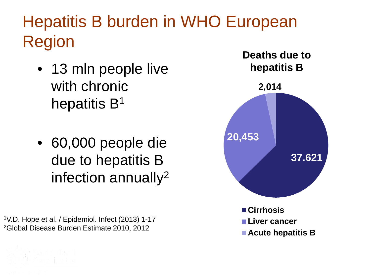### Hepatitis B burden in WHO European Region

- 13 mln people live with chronic hepatitis B<sup>1</sup>
- 60,000 people die due to hepatitis B infection annually2

1V.D. Hope et al. / Epidemiol. Infect (2013) 1-17 2Global Disease Burden Estimate 2010, 2012

World Health

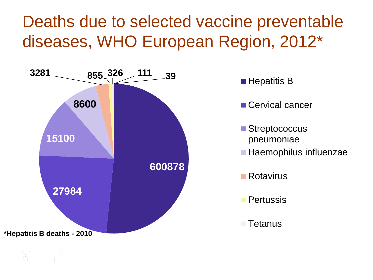#### Deaths due to selected vaccine preventable diseases, WHO European Region, 2012\*

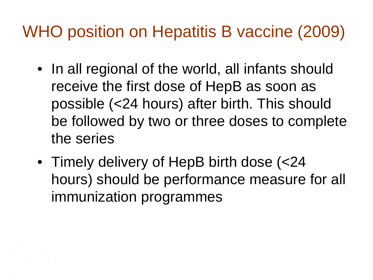### WHO position on Hepatitis B vaccine (2009)

- In all regional of the world, all infants should receive the first dose of HepB as soon as possible (<24 hours) after birth. This should be followed by two or three doses to complete the series
- Timely delivery of HepB birth dose (<24 hours) should be performance measure for all immunization programmes

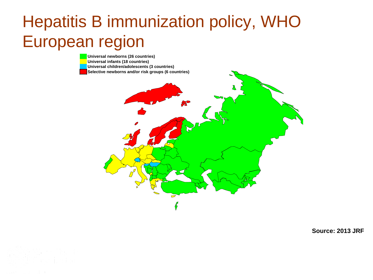#### Hepatitis B immunization policy, WHO European region



**Source: 2013 JRF**

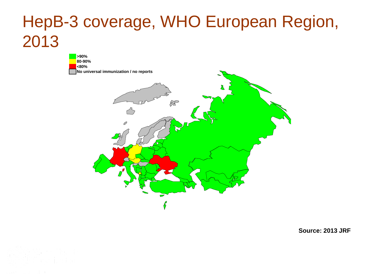#### HepB-3 coverage, WHO European Region, 2013



**Source: 2013 JRF**

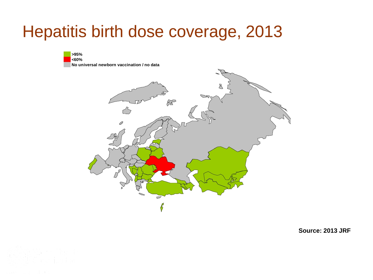#### Hepatitis birth dose coverage, 2013





**Source: 2013 JRF**

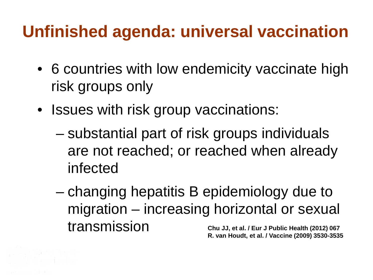### **Unfinished agenda: universal vaccination**

- 6 countries with low endemicity vaccinate high risk groups only
- Issues with risk group vaccinations:
	- substantial part of risk groups individuals are not reached; or reached when already infected
	- changing hepatitis B epidemiology due to migration – increasing horizontal or sexual transmission **Chu JJ, et al. / Eur J Public Health (2012) 067 R. van Houdt, et al. / Vaccine (2009) 3530-3535**

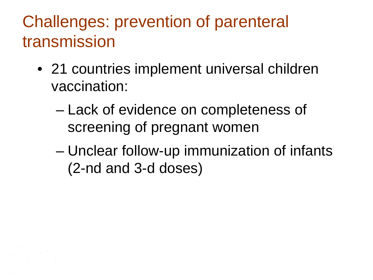### Challenges: prevention of parenteral transmission

- 21 countries implement universal children vaccination:
	- Lack of evidence on completeness of screening of pregnant women
	- Unclear follow-up immunization of infants (2-nd and 3-d doses)

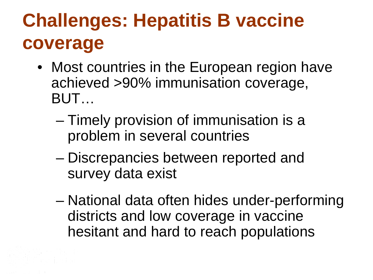## **Challenges: Hepatitis B vaccine coverage**

- Most countries in the European region have achieved >90% immunisation coverage, BUT…
	- Timely provision of immunisation is a problem in several countries
	- Discrepancies between reported and survey data exist
	- National data often hides under-performing districts and low coverage in vaccine hesitant and hard to reach populations

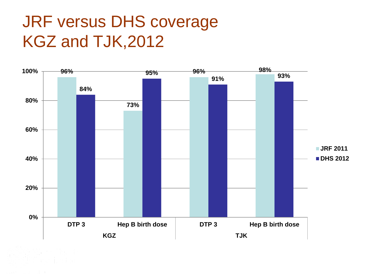#### JRF versus DHS coverage KGZ and TJK,2012

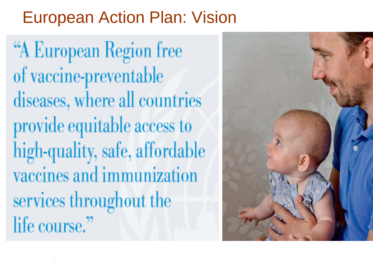#### European Action Plan: Vision

"A European Region free of vaccine-preventable diseases, where all countries provide equitable access to high-quality, safe, affordable vaccines and immunization services throughout the life course."



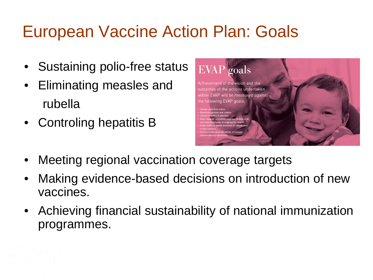### European Vaccine Action Plan: Goals

- Sustaining polio-free status
- Eliminating measles and rubella
- Controling hepatitis B



- Meeting regional vaccination coverage targets
- Making evidence-based decisions on introduction of new vaccines.
- Achieving financial sustainability of national immunization programmes.

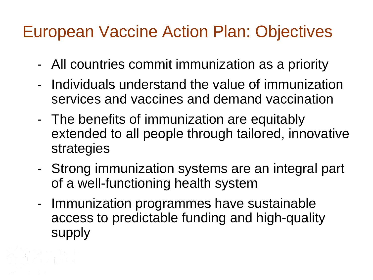#### European Vaccine Action Plan: Objectives

- All countries commit immunization as a priority
- Individuals understand the value of immunization services and vaccines and demand vaccination
- The benefits of immunization are equitably extended to all people through tailored, innovative strategies
- Strong immunization systems are an integral part of a well-functioning health system
- Immunization programmes have sustainable access to predictable funding and high-quality supply

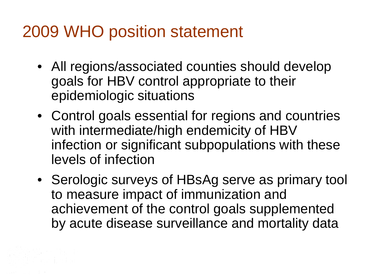#### 2009 WHO position statement

- All regions/associated counties should develop goals for HBV control appropriate to their epidemiologic situations
- Control goals essential for regions and countries with intermediate/high endemicity of HBV infection or significant subpopulations with these levels of infection
- Serologic surveys of HBsAg serve as primary tool to measure impact of immunization and achievement of the control goals supplemented by acute disease surveillance and mortality data

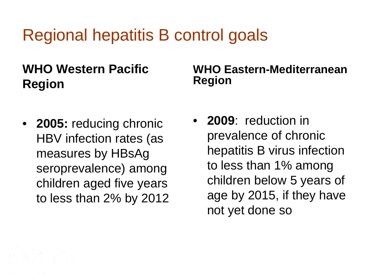### Regional hepatitis B control goals

#### **WHO Western Pacific Region**

• **2005:** reducing chronic HBV infection rates (as measures by HBsAg seroprevalence) among children aged five years to less than 2% by 2012

#### **WHO Eastern-Mediterranean Region**

• **2009**: reduction in prevalence of chronic hepatitis B virus infection to less than 1% among children below 5 years of age by 2015, if they have not yet done so

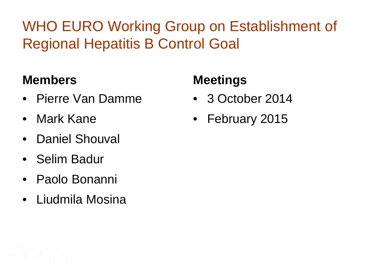#### WHO EURO Working Group on Establishment of Regional Hepatitis B Control Goal

#### **Members**

- Pierre Van Damme
- Mark Kane
- Daniel Shouval
- Selim Badur
- Paolo Bonanni
- Liudmila Mosina

#### **Meetings**

- 3 October 2014
- February 2015

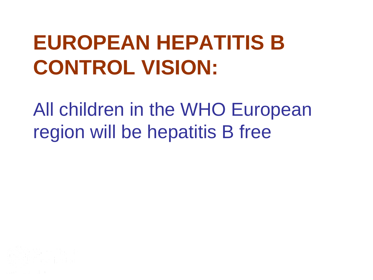# **EUROPEAN HEPATITIS B CONTROL VISION:**

All children in the WHO European region will be hepatitis B free

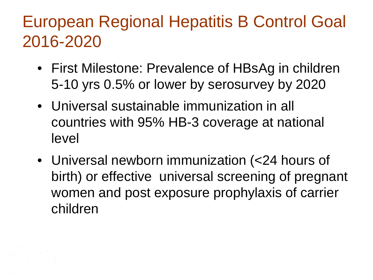### European Regional Hepatitis B Control Goal 2016-2020

- First Milestone: Prevalence of HBsAg in children 5-10 yrs 0.5% or lower by serosurvey by 2020
- Universal sustainable immunization in all countries with 95% HB-3 coverage at national level
- Universal newborn immunization (<24 hours of birth) or effective universal screening of pregnant women and post exposure prophylaxis of carrier children